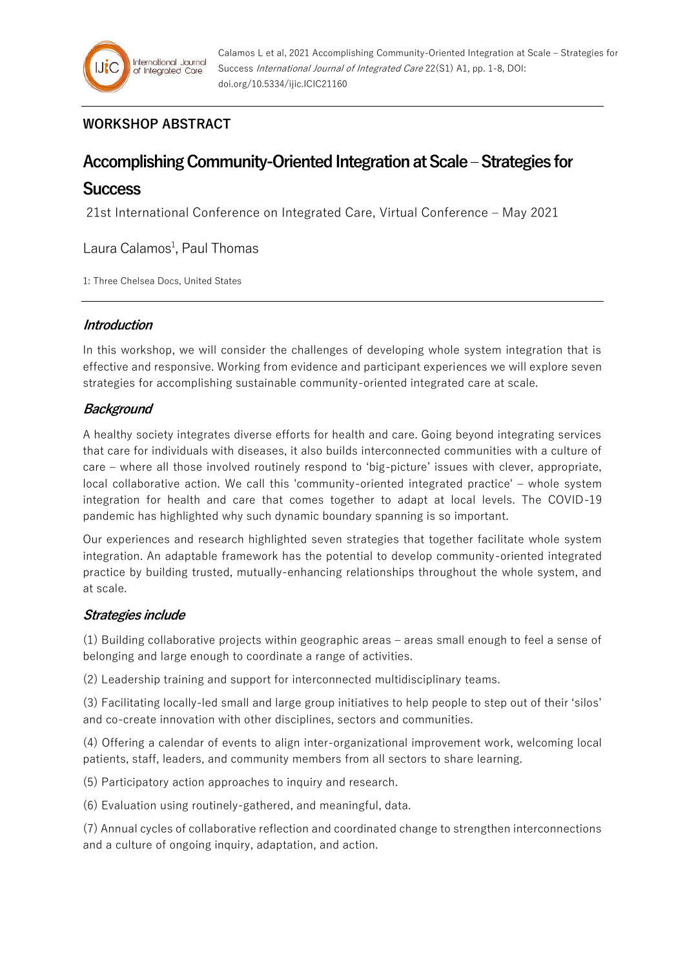# **WORKSHOP ABSTRACT**

# **Accomplishing Community-Oriented Integration at Scale –Strategies for**

# **Success**

21st International Conference on Integrated Care, Virtual Conference – May 2021

Laura Calamos<sup>1</sup>, Paul Thomas

1: Three Chelsea Docs, United States

## **Introduction**

In this workshop, we will consider the challenges of developing whole system integration that is effective and responsive. Working from evidence and participant experiences we will explore seven strategies for accomplishing sustainable community-oriented integrated care at scale.

## **Background**

A healthy society integrates diverse efforts for health and care. Going beyond integrating services that care for individuals with diseases, it also builds interconnected communities with a culture of care – where all those involved routinely respond to 'big-picture' issues with clever, appropriate, local collaborative action. We call this 'community-oriented integrated practice' – whole system integration for health and care that comes together to adapt at local levels. The COVID-19 pandemic has highlighted why such dynamic boundary spanning is so important.

Our experiences and research highlighted seven strategies that together facilitate whole system integration. An adaptable framework has the potential to develop community-oriented integrated practice by building trusted, mutually-enhancing relationships throughout the whole system, and at scale.

## **Strategies include**

(1) Building collaborative projects within geographic areas – areas small enough to feel a sense of belonging and large enough to coordinate a range of activities.

(2) Leadership training and support for interconnected multidisciplinary teams.

(3) Facilitating locally-led small and large group initiatives to help people to step out of their 'silos' and co-create innovation with other disciplines, sectors and communities.

(4) Offering a calendar of events to align inter-organizational improvement work, welcoming local patients, staff, leaders, and community members from all sectors to share learning.

(5) Participatory action approaches to inquiry and research.

(6) Evaluation using routinely-gathered, and meaningful, data.

(7) Annual cycles of collaborative reflection and coordinated change to strengthen interconnections and a culture of ongoing inquiry, adaptation, and action.